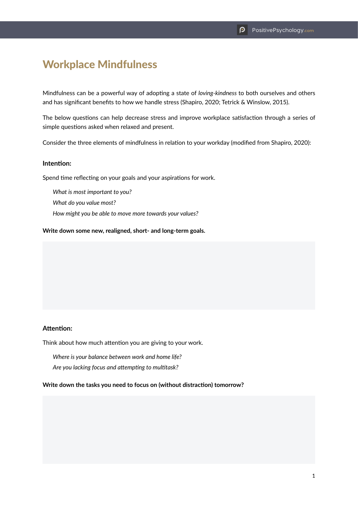# Workplace Mindfulness

Mindfulness can be a powerful way of adopting a state of *loving-kindness* to both ourselves and others and has significant benefits to how we handle stress (Shapiro, 2020; Tetrick & Winslow, 2015).

The below questions can help decrease stress and improve workplace satisfaction through a series of simple questions asked when relaxed and present.

Consider the three elements of mindfulness in relation to your workday (modified from Shapiro, 2020):

### **Intention:**

Spend time reflecting on your goals and your aspirations for work.

*What is most important to you? What do you value most? How might you be able to move more towards your values?*

**Write down some new, realigned, short- and long-term goals.**

## **Attention:**

Think about how much attention you are giving to your work.

*Where is your balance between work and home life? Are you lacking focus and attempting to multitask?*

**Write down the tasks you need to focus on (without distraction) tomorrow?**